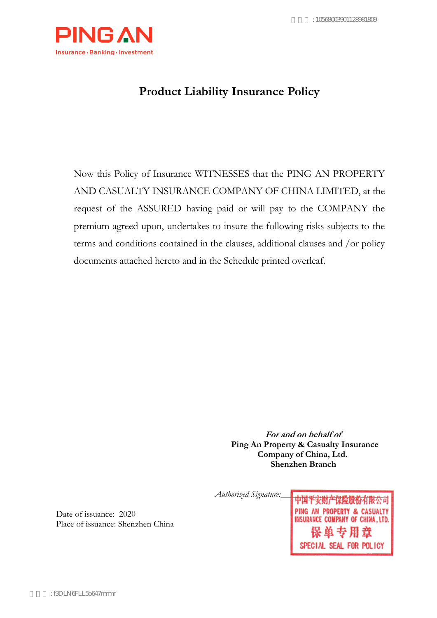

# **Product Liability Insurance Policy**

Now this Policy of Insurance WITNESSES that the PING AN PROPERTY AND CASUALTY INSURANCE COMPANY OF CHINA LIMITED, at the request of the ASSURED having paid or will pay to the COMPANY the premium agreed upon, undertakes to insure the following risks subjects to the terms and conditions contained in the clauses, additional clauses and /or policy documents attached hereto and in the Schedule printed overleaf.

> **For and on behalf of Ping An Property & Casualty Insurance Company of China, Ltd. Shenzhen Branch**

*Authorized Signature:\_\_\_\_ \_\_\_\_\_\_\_\_\_\_\_\_\_\_\_\_\_\_\_\_* 

Date of issuance: 2020 Place of issuance: Shenzhen China PING AN PROPERTY & CASUALTY INSURANCE COMPANY OF CHINA, LTD. SPECIAL SEAL FOR POLICY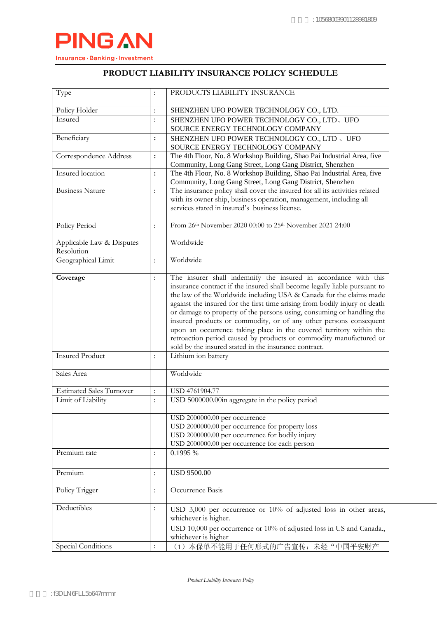

## **PRODUCT LIABILITY INSURANCE POLICY SCHEDULE**

| Type                                    | $\ddot{\cdot}$       | PRODUCTS LIABILITY INSURANCE                                                                                                                                                                                                                                                                                                                                                                                                                                                                                                                                                                                                                          |  |  |  |  |  |  |
|-----------------------------------------|----------------------|-------------------------------------------------------------------------------------------------------------------------------------------------------------------------------------------------------------------------------------------------------------------------------------------------------------------------------------------------------------------------------------------------------------------------------------------------------------------------------------------------------------------------------------------------------------------------------------------------------------------------------------------------------|--|--|--|--|--|--|
| Policy Holder                           | $\vdots$             | SHENZHEN UFO POWER TECHNOLOGY CO., LTD.                                                                                                                                                                                                                                                                                                                                                                                                                                                                                                                                                                                                               |  |  |  |  |  |  |
| Insured                                 | $\vdots$             | SHENZHEN UFO POWER TECHNOLOGY CO., LTD、UFO<br>SOURCE ENERGY TECHNOLOGY COMPANY                                                                                                                                                                                                                                                                                                                                                                                                                                                                                                                                                                        |  |  |  |  |  |  |
| Beneficiary                             | :                    | SHENZHEN UFO POWER TECHNOLOGY CO., LTD, UFO<br>SOURCE ENERGY TECHNOLOGY COMPANY                                                                                                                                                                                                                                                                                                                                                                                                                                                                                                                                                                       |  |  |  |  |  |  |
| Correspondence Address                  | $\colon$             | The 4th Floor, No. 8 Workshop Building, Shao Pai Industrial Area, five<br>Community, Long Gang Street, Long Gang District, Shenzhen                                                                                                                                                                                                                                                                                                                                                                                                                                                                                                                   |  |  |  |  |  |  |
| Insured location                        | $\colon$             | The 4th Floor, No. 8 Workshop Building, Shao Pai Industrial Area, five<br>Community, Long Gang Street, Long Gang District, Shenzhen                                                                                                                                                                                                                                                                                                                                                                                                                                                                                                                   |  |  |  |  |  |  |
| <b>Business Nature</b>                  | $\ddot{\cdot}$       | The insurance policy shall cover the insured for all its activities related<br>with its owner ship, business operation, management, including all<br>services stated in insured's business license.                                                                                                                                                                                                                                                                                                                                                                                                                                                   |  |  |  |  |  |  |
| Policy Period                           | $\ddot{\cdot}$       | From 26th November 2020 00:00 to 25th November 2021 24:00                                                                                                                                                                                                                                                                                                                                                                                                                                                                                                                                                                                             |  |  |  |  |  |  |
| Applicable Law & Disputes<br>Resolution |                      | Worldwide                                                                                                                                                                                                                                                                                                                                                                                                                                                                                                                                                                                                                                             |  |  |  |  |  |  |
| Geographical Limit                      | $\ddot{\cdot}$       | Worldwide                                                                                                                                                                                                                                                                                                                                                                                                                                                                                                                                                                                                                                             |  |  |  |  |  |  |
| Coverage                                | $\vdots$             | The insurer shall indemnify the insured in accordance with this<br>insurance contract if the insured shall become legally liable pursuant to<br>the law of the Worldwide including USA & Canada for the claims made<br>against the insured for the first time arising from bodily injury or death<br>or damage to property of the persons using, consuming or handling the<br>insured products or commodity, or of any other persons consequent<br>upon an occurrence taking place in the covered territory within the<br>retroaction period caused by products or commodity manufactured or<br>sold by the insured stated in the insurance contract. |  |  |  |  |  |  |
| <b>Insured Product</b>                  | $\ddot{\cdot}$       | Lithium ion battery                                                                                                                                                                                                                                                                                                                                                                                                                                                                                                                                                                                                                                   |  |  |  |  |  |  |
| Sales Area                              |                      | Worldwide                                                                                                                                                                                                                                                                                                                                                                                                                                                                                                                                                                                                                                             |  |  |  |  |  |  |
| <b>Estimated Sales Turnover</b>         | $\ddot{\cdot}$       | USD 4761904.77                                                                                                                                                                                                                                                                                                                                                                                                                                                                                                                                                                                                                                        |  |  |  |  |  |  |
| Limit of Liability                      | $\ddot{\cdot}$       | USD 5000000.00in aggregate in the policy period                                                                                                                                                                                                                                                                                                                                                                                                                                                                                                                                                                                                       |  |  |  |  |  |  |
|                                         |                      | USD 2000000.00 per occurrence<br>USD 2000000.00 per occurrence for property loss<br>USD 2000000.00 per occurrence for bodily injury<br>USD 2000000.00 per occurrence for each person                                                                                                                                                                                                                                                                                                                                                                                                                                                                  |  |  |  |  |  |  |
| Premium rate                            | $\ddot{\cdot}$       | 0.1995 %                                                                                                                                                                                                                                                                                                                                                                                                                                                                                                                                                                                                                                              |  |  |  |  |  |  |
| Premium                                 | $\ddot{\cdot}$       | <b>USD 9500.00</b>                                                                                                                                                                                                                                                                                                                                                                                                                                                                                                                                                                                                                                    |  |  |  |  |  |  |
| Policy Trigger                          | $\vdots$             | Occurrence Basis                                                                                                                                                                                                                                                                                                                                                                                                                                                                                                                                                                                                                                      |  |  |  |  |  |  |
| Deductibles                             | $\ddot{\cdot}$       | USD 3,000 per occurrence or 10% of adjusted loss in other areas,<br>whichever is higher.<br>USD 10,000 per occurrence or 10% of adjusted loss in US and Canada.,<br>whichever is higher                                                                                                                                                                                                                                                                                                                                                                                                                                                               |  |  |  |  |  |  |
| Special Conditions                      | $\ddot{\phantom{a}}$ | (1) 本保单不能用于任何形式的广告宣传: 未经"中国平安财产                                                                                                                                                                                                                                                                                                                                                                                                                                                                                                                                                                                                                       |  |  |  |  |  |  |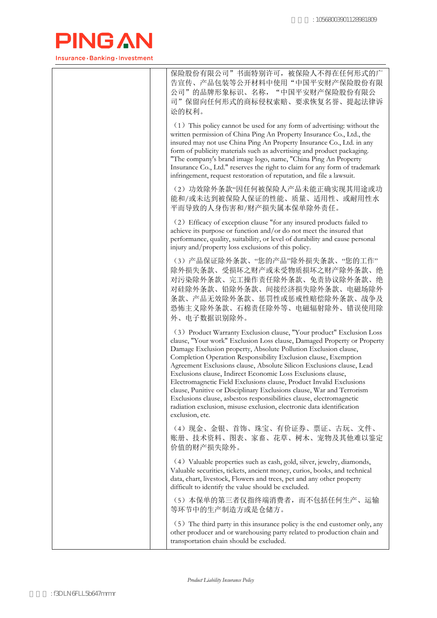

| 保险股份有限公司"书面特别许可, 被保险人不得在任何形式的广<br>告宣传、产品包装等公开材料中使用"中国平安财产保险股份有限<br>公司"的品牌形象标识、名称, "中国平安财产保险股份有限公<br>司"保留向任何形式的商标侵权索赔、要求恢复名誉、提起法律诉<br>讼的权利。                                                                                                                                                                                                                                                                                                                                                                                                                                                                                                                                                                                                         |
|----------------------------------------------------------------------------------------------------------------------------------------------------------------------------------------------------------------------------------------------------------------------------------------------------------------------------------------------------------------------------------------------------------------------------------------------------------------------------------------------------------------------------------------------------------------------------------------------------------------------------------------------------------------------------------------------------------------------------------------------------|
| (1) This policy cannot be used for any form of advertising: without the<br>written permission of China Ping An Property Insurance Co., Ltd., the<br>insured may not use China Ping An Property Insurance Co., Ltd. in any<br>form of publicity materials such as advertising and product packaging.<br>"The company's brand image logo, name, "China Ping An Property<br>Insurance Co., Ltd." reserves the right to claim for any form of trademark<br>infringement, request restoration of reputation, and file a lawsuit.                                                                                                                                                                                                                        |
| (2) 功效除外条款"因任何被保险人产品未能正确实现其用途或功<br>能和/或未达到被保险人保证的性能、质量、适用性、或耐用性水<br>平而导致的人身伤害和/财产损失属本保单除外责任。                                                                                                                                                                                                                                                                                                                                                                                                                                                                                                                                                                                                                                                       |
| (2) Efficacy of exception clause "for any insured products failed to<br>achieve its purpose or function and/or do not meet the insured that<br>performance, quality, suitability, or level of durability and cause personal<br>injury and/property loss exclusions of this policy.                                                                                                                                                                                                                                                                                                                                                                                                                                                                 |
| (3) 产品保证除外条款、"您的产品"除外损失条款、"您的工作"<br>除外损失条款、受损坏之财产或未受物质损坏之财产除外条款、绝<br>对污染除外条款、完工操作责任除外条款、免责协议除外条款、绝<br>对硅除外条款、铅除外条款、间接经济损失除外条款、电磁场除外<br>条款、产品无效除外条款、惩罚性或惩戒性赔偿除外条款、战争及<br>恐怖主义除外条款、石棉责任除外等、电磁辐射除外、错误使用除<br>外、电子数据识别除外。                                                                                                                                                                                                                                                                                                                                                                                                                                                                                                                               |
| (3) Product Warranty Exclusion clause, "Your product" Exclusion Loss<br>clause, "Your work" Exclusion Loss clause, Damaged Property or Property<br>Damage Exclusion property, Absolute Pollution Exclusion clause,<br>Completion Operation Responsibility Exclusion clause, Exemption<br>Agreement Exclusions clause, Absolute Silicon Exclusions clause, Lead<br>Exclusions clause, Indirect Economic Loss Exclusions clause,<br>Electromagnetic Field Exclusions clause, Product Invalid Exclusions<br>clause, Punitive or Disciplinary Exclusions clause, War and Terrorism<br>Exclusions clause, asbestos responsibilities clause, electromagnetic<br>radiation exclusion, misuse exclusion, electronic data identification<br>exclusion, etc. |
| (4) 现金、金银、首饰、珠宝、有价证券、票证、古玩、文件、<br>账册、技术资料、图表、家畜、花草、树木、宠物及其他难以鉴定<br>价值的财产损失除外。                                                                                                                                                                                                                                                                                                                                                                                                                                                                                                                                                                                                                                                                      |
| (4) Valuable properties such as cash, gold, silver, jewelry, diamonds,<br>Valuable securities, tickets, ancient money, curios, books, and technical<br>data, chart, livestock, Flowers and trees, pet and any other property<br>difficult to identify the value should be excluded.                                                                                                                                                                                                                                                                                                                                                                                                                                                                |
| (5) 本保单的第三者仅指终端消费者, 而不包括任何生产、运输<br>等环节中的生产制造方或是仓储方。                                                                                                                                                                                                                                                                                                                                                                                                                                                                                                                                                                                                                                                                                                |
| (5) The third party in this insurance policy is the end customer only, any<br>other producer and or warehousing party related to production chain and<br>transportation chain should be excluded.                                                                                                                                                                                                                                                                                                                                                                                                                                                                                                                                                  |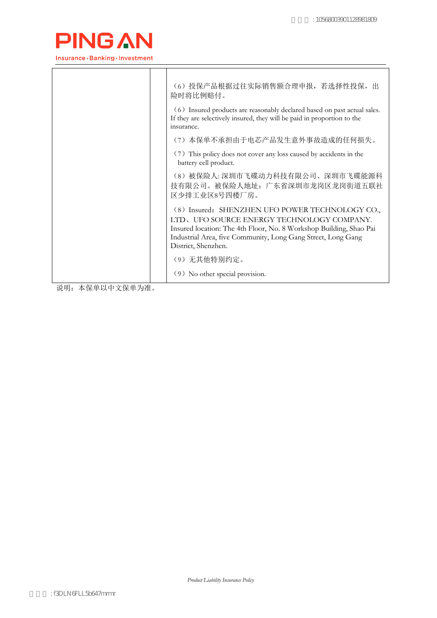

|                                                                                                                                    | (6) 投保产品根据过往实际销售额合理申报, 若选择性投保, 出<br>险时将比例赔付。<br>(6) Insured products are reasonably declared based on past actual sales.<br>If they are selectively insured, they will be paid in proportion to the<br>insurance.<br>(7) 本保单不承担由于电芯产品发生意外事故造成的任何损失。<br>(7) This policy does not cover any loss caused by accidents in the<br>battery cell product. |
|------------------------------------------------------------------------------------------------------------------------------------|----------------------------------------------------------------------------------------------------------------------------------------------------------------------------------------------------------------------------------------------------------------------------------------------------------------------------------------------------|
|                                                                                                                                    | (8) 被保险人: 深圳市飞碟动力科技有限公司、深圳市飞碟能源科<br>技有限公司。被保险人地址: 广东省深圳市龙岗区龙岗街道五联社<br>区少排工业区8号四楼厂房。                                                                                                                                                                                                                                                                |
|                                                                                                                                    | (8) Insured: SHENZHEN UFO POWER TECHNOLOGY CO.,<br>LTD, UFO SOURCE ENERGY TECHNOLOGY COMPANY.<br>Insured location: The 4th Floor, No. 8 Workshop Building, Shao Pai<br>Industrial Area, five Community, Long Gang Street, Long Gang<br>District, Shenzhen.                                                                                         |
| $\mathbf{v}$<br>$\mathbf{r}$ and $\mathbf{r}$ and $\mathbf{r}$ and $\mathbf{r}$ and $\mathbf{r}$ and $\mathbf{r}$ and $\mathbf{r}$ | (9) 无其他特别约定。<br>(9) No other special provision.                                                                                                                                                                                                                                                                                                    |

说明: 本保单以中文保单为准。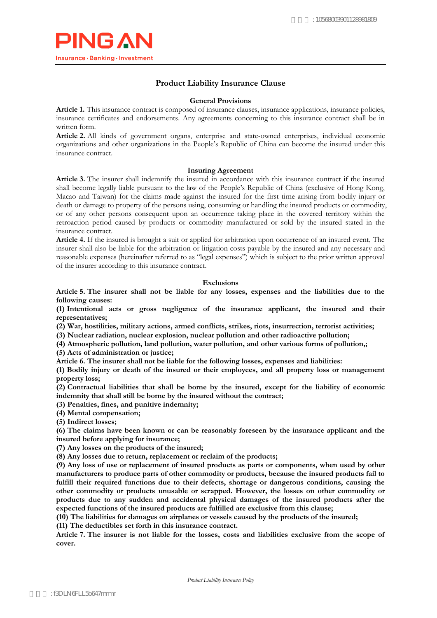

## **Product Liability Insurance Clause**

#### **General Provisions**

**Article 1.** This insurance contract is composed of insurance clauses, insurance applications, insurance policies, insurance certificates and endorsements. Any agreements concerning to this insurance contract shall be in written form.

**Article 2.** All kinds of government organs, enterprise and state-owned enterprises, individual economic organizations and other organizations in the People's Republic of China can become the insured under this insurance contract.

#### **Insuring Agreement**

**Article 3.** The insurer shall indemnify the insured in accordance with this insurance contract if the insured shall become legally liable pursuant to the law of the People's Republic of China (exclusive of Hong Kong, Macao and Taiwan) for the claims made against the insured for the first time arising from bodily injury or death or damage to property of the persons using, consuming or handling the insured products or commodity, or of any other persons consequent upon an occurrence taking place in the covered territory within the retroaction period caused by products or commodity manufactured or sold by the insured stated in the insurance contract.

**Article 4.** If the insured is brought a suit or applied for arbitration upon occurrence of an insured event, The insurer shall also be liable for the arbitration or litigation costs payable by the insured and any necessary and reasonable expenses (hereinafter referred to as "legal expenses") which is subject to the prior written approval of the insurer according to this insurance contract.

#### **Exclusions**

**Article 5. The insurer shall not be liable for any losses, expenses and the liabilities due to the following causes:**

**(1) Intentional acts or gross negligence of the insurance applicant, the insured and their representatives;**

**(2) War, hostilities, military actions, armed conflicts, strikes, riots, insurrection, terrorist activities;** 

**(3) Nuclear radiation, nuclear explosion, nuclear pollution and other radioactive pollution;** 

**(4) Atmospheric pollution, land pollution, water pollution, and other various forms of pollution,;** 

**(5) Acts of administration or justice;**

**Article 6. The insurer shall not be liable for the following losses, expenses and liabilities:**

**(1) Bodily injury or death of the insured or their employees, and all property loss or management property loss;** 

**(2) Contractual liabilities that shall be borne by the insured, except for the liability of economic indemnity that shall still be borne by the insured without the contract;** 

**(3) Penalties, fines, and punitive indemnity;** 

**(4) Mental compensation;** 

**(5) Indirect losses;** 

**(6) The claims have been known or can be reasonably foreseen by the insurance applicant and the insured before applying for insurance;**

**(7) Any losses on the products of the insured;**

**(8) Any losses due to return, replacement or reclaim of the products;**

**(9) Any loss of use or replacement of insured products as parts or components, when used by other manufacturers to produce parts of other commodity or products, because the insured products fail to fulfill their required functions due to their defects, shortage or dangerous conditions, causing the other commodity or products unusable or scrapped. However, the losses on other commodity or products due to any sudden and accidental physical damages of the insured products after the expected functions of the insured products are fulfilled are exclusive from this clause;**

**(10) The liabilities for damages on airplanes or vessels caused by the products of the insured;**

**(11) The deductibles set forth in this insurance contract.** 

**Article 7. The insurer is not liable for the losses, costs and liabilities exclusive from the scope of cover.**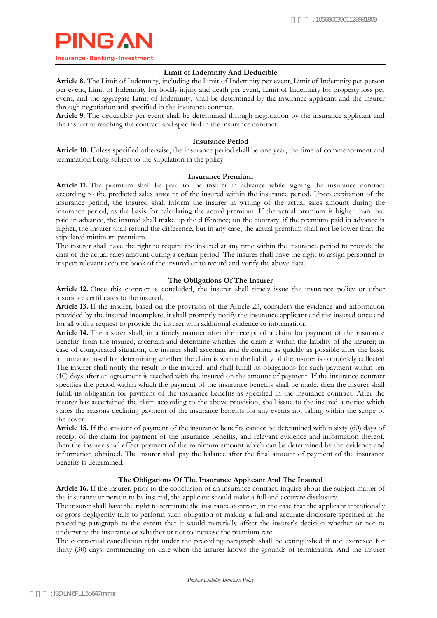

### **Limit of Indemnity And Deducible**

**Article 8.** The Limit of Indemnity, including the Limit of Indemnity per event, Limit of Indemnity per person per event, Limit of Indemnity for bodily injury and death per event, Limit of Indemnity for property loss per event, and the aggregate Limit of Indemnity, shall be determined by the insurance applicant and the insurer through negotiation and specified in the insurance contract.

**Article 9.** The deductible per event shall be determined through negotiation by the insurance applicant and the insurer at reaching the contract and specified in the insurance contract.

#### **Insurance Period**

**Article 10.** Unless specified otherwise, the insurance period shall be one year, the time of commencement and termination being subject to the stipulation in the policy.

#### **Insurance Premium**

**Article 11.** The premium shall be paid to the insurer in advance while signing the insurance contract according to the predicted sales amount of the insured within the insurance period. Upon expiration of the insurance period, the insured shall inform the insurer in writing of the actual sales amount during the insurance period, as the basis for calculating the actual premium. If the actual premium is higher than that paid in advance, the insured shall make up the difference; on the contrary, if the premium paid in advance is higher, the insurer shall refund the difference, but in any case, the actual premium shall not be lower than the stipulated minimum premium.

The insurer shall have the right to require the insured at any time within the insurance period to provide the data of the actual sales amount during a certain period. The insurer shall have the right to assign personnel to inspect relevant account book of the insured or to record and verify the above data.

### **The Obligations Of The Insurer**

Article 12. Once this contract is concluded, the insurer shall timely issue the insurance policy or other insurance certificates to the insured.

**Article 13.** If the insurer, based on the provision of the Article 23, considers the evidence and information provided by the insured incomplete, it shall promptly notify the insurance applicant and the insured once and for all with a request to provide the insurer with additional evidence or information.

**Article 14.** The insurer shall, in a timely manner after the receipt of a claim for payment of the insurance benefits from the insured, ascertain and determine whether the claim is within the liability of the insurer; in case of complicated situation, the insurer shall ascertain and determine as quickly as possible after the basic information used for determining whether the claim is within the liability of the insurer is completely collected. The insurer shall notify the result to the insured, and shall fulfill its obligations for such payment within ten (10) days after an agreement is reached with the insured on the amount of payment. If the insurance contract specifies the period within which the payment of the insurance benefits shall be made, then the insurer shall fulfill its obligation for payment of the insurance benefits as specified in the insurance contract. After the insurer has ascertained the claim according to the above provision, shall issue to the insured a notice which states the reasons declining payment of the insurance benefits for any events not falling within the scope of the cover.

**Article 15.** If the amount of payment of the insurance benefits cannot be determined within sixty (60) days of receipt of the claim for payment of the insurance benefits, and relevant evidence and information thereof, then the insurer shall effect payment of the minimum amount which can be determined by the evidence and information obtained. The insurer shall pay the balance after the final amount of payment of the insurance benefits is determined.

### **The Obligations Of The Insurance Applicant And The Insured**

**Article 16.** If the insurer, prior to the conclusion of an insurance contract, inquire about the subject matter of the insurance or person to be insured, the applicant should make a full and accurate disclosure.

The insurer shall have the right to terminate the insurance contract, in the case that the applicant intentionally or gross negligently fails to perform such obligation of making a full and accurate disclosure specified in the preceding paragraph to the extent that it would materially affect the insurer's decision whether or not to underwrite the insurance or whether or not to increase the premium rate.

The contractual cancellation right under the preceding paragraph shall be extinguished if not exercised for thirty (30) days, commencing on date when the insurer knows the grounds of termination. And the insurer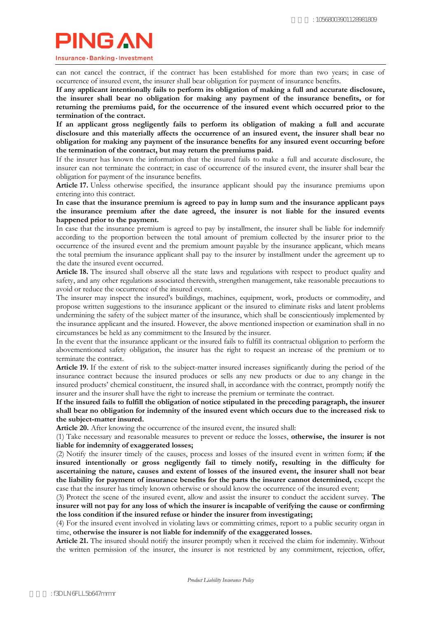Insurance · Banking · Investment

can not cancel the contract, if the contract has been established for more than two years; in case of occurrence of insured event, the insurer shall bear obligation for payment of insurance benefits.

**If any applicant intentionally fails to perform its obligation of making a full and accurate disclosure, the insurer shall bear no obligation for making any payment of the insurance benefits, or for returning the premiums paid, for the occurrence of the insured event which occurred prior to the termination of the contract.**

**If an applicant gross negligently fails to perform its obligation of making a full and accurate disclosure and this materially affects the occurrence of an insured event, the insurer shall bear no obligation for making any payment of the insurance benefits for any insured event occurring before the termination of the contract, but may return the premiums paid.**

If the insurer has known the information that the insured fails to make a full and accurate disclosure, the insurer can not terminate the contract; in case of occurrence of the insured event, the insurer shall bear the obligation for payment of the insurance benefits.

**Article 17.** Unless otherwise specified, the insurance applicant should pay the insurance premiums upon entering into this contract.

**In case that the insurance premium is agreed to pay in lump sum and the insurance applicant pays the insurance premium after the date agreed, the insurer is not liable for the insured events happened prior to the payment.**

In case that the insurance premium is agreed to pay by installment, the insurer shall be liable for indemnify according to the proportion between the total amount of premium collected by the insurer prior to the occurrence of the insured event and the premium amount payable by the insurance applicant, which means the total premium the insurance applicant shall pay to the insurer by installment under the agreement up to the date the insured event occurred.

**Article 18.** The insured shall observe all the state laws and regulations with respect to product quality and safety, and any other regulations associated therewith, strengthen management, take reasonable precautions to avoid or reduce the occurrence of the insured event.

The insurer may inspect the insured's buildings, machines, equipment, work, products or commodity, and propose written suggestions to the insurance applicant or the insured to eliminate risks and latent problems undermining the safety of the subject matter of the insurance, which shall be conscientiously implemented by the insurance applicant and the insured. However, the above mentioned inspection or examination shall in no circumstances be held as any commitment to the Insured by the insurer.

In the event that the insurance applicant or the insured fails to fulfill its contractual obligation to perform the abovementioned safety obligation, the insurer has the right to request an increase of the premium or to terminate the contract.

**Article 19.** If the extent of risk to the subject-matter insured increases significantly during the period of the insurance contract because the insured produces or sells any new products or due to any change in the insured products' chemical constituent, the insured shall, in accordance with the contract, promptly notify the insurer and the insurer shall have the right to increase the premium or terminate the contract.

**If the insured fails to fulfill the obligation of notice stipulated in the preceding paragraph, the insurer shall bear no obligation for indemnity of the insured event which occurs due to the increased risk to the subject-matter insured.**

**Article 20.** After knowing the occurrence of the insured event, the insured shall:

(1) Take necessary and reasonable measures to prevent or reduce the losses, **otherwise, the insurer is not liable for indemnity of exaggerated losses;** 

(2) Notify the insurer timely of the causes, process and losses of the insured event in written form; **if the insured intentionally or gross negligently fail to timely notify, resulting in the difficulty for ascertaining the nature, causes and extent of losses of the insured event, the insurer shall not bear the liability for payment of insurance benefits for the parts the insurer cannot determined,** except the case that the insurer has timely known otherwise or should know the occurrence of the insured event;

(3) Protect the scene of the insured event, allow and assist the insurer to conduct the accident survey. **The insurer will not pay for any loss of which the insurer is incapable of verifying the cause or confirming the loss condition if the insured refuse or hinder the insurer from investigating;**

(4) For the insured event involved in violating laws or committing crimes, report to a public security organ in time, **otherwise the insurer is not liable for indemnify of the exaggerated losses.** 

**Article 21.** The insured should notify the insurer promptly when it received the claim for indemnity. Without the written permission of the insurer, the insurer is not restricted by any commitment, rejection, offer,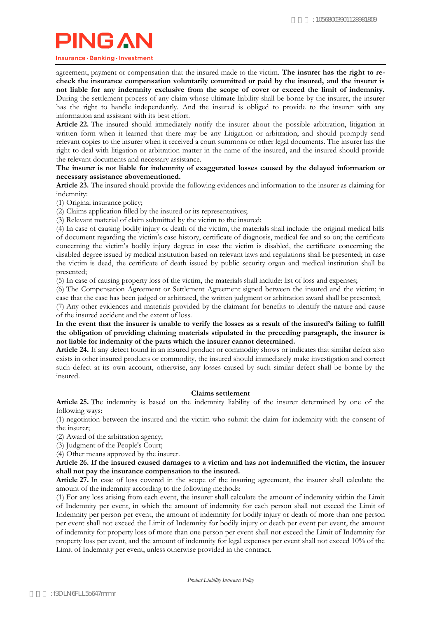#### Insurance · Banking · Investment

agreement, payment or compensation that the insured made to the victim. **The insurer has the right to recheck the insurance compensation voluntarily committed or paid by the insured, and the insurer is not liable for any indemnity exclusive from the scope of cover or exceed the limit of indemnity.** During the settlement process of any claim whose ultimate liability shall be borne by the insurer, the insurer has the right to handle independently. And the insured is obliged to provide to the insurer with any information and assistant with its best effort.

**Article 22.** The insured should immediately notify the insurer about the possible arbitration, litigation in written form when it learned that there may be any Litigation or arbitration; and should promptly send relevant copies to the insurer when it received a court summons or other legal documents. The insurer has the right to deal with litigation or arbitration matter in the name of the insured, and the insured should provide the relevant documents and necessary assistance.

**The insurer is not liable for indemnity of exaggerated losses caused by the delayed information or necessary assistance abovementioned.**

**Article 23.** The insured should provide the following evidences and information to the insurer as claiming for indemnity:

(1) Original insurance policy;

(2) Claims application filled by the insured or its representatives;

(3) Relevant material of claim submitted by the victim to the insured;

(4) In case of causing bodily injury or death of the victim, the materials shall include: the original medical bills of document regarding the victim's case history, certificate of diagnosis, medical fee and so on; the certificate concerning the victim's bodily injury degree: in case the victim is disabled, the certificate concerning the disabled degree issued by medical institution based on relevant laws and regulations shall be presented; in case the victim is dead, the certificate of death issued by [public security organ](dict://key.0895DFE8DB67F9409DB285590D870EDD/public%20security%20organ) and medical institution shall be presented;

(5) In case of causing property loss of the victim, the materials shall include: list of loss and expenses;

(6) The Compensation Agreement or Settlement Agreement signed between the insured and the victim; in case that the case has been judged or arbitrated, the written judgment or arbitration award shall be presented;

(7) Any other evidences and materials provided by the claimant for benefits to identify the nature and cause of the insured accident and the extent of loss.

**In the event that the insurer is unable to verify the losses as a result of the insured's failing to fulfill the obligation of providing claiming materials stipulated in the preceding paragraph, the insurer is not liable for indemnity of the parts which the insurer cannot determined.**

**Article 24.** If any defect found in an insured product or commodity shows or indicates that similar defect also exists in other insured products or commodity, the insured should immediately make investigation and correct such defect at its own account, otherwise, any losses caused by such similar defect shall be borne by the insured.

#### **Claims settlement**

**Article 25.** The indemnity is based on the indemnity liability of the insurer determined by one of the following ways:

(1) negotiation between the insured and the victim who submit the claim for indemnity with the consent of the insurer;

(2) Award of the arbitration agency;

(3) Judgment of the People's Court;

(4) Other means approved by the insurer.

### **Article 26. If the insured caused damages to a victim and has not indemnified the victim, the insurer shall not pay the insurance compensation to the insured.**

**Article 27.** In case of loss covered in the scope of the insuring agreement, the insurer shall calculate the amount of the indemnity according to the following methods:

(1) For any loss arising from each event, the insurer shall calculate the amount of indemnity within the Limit of Indemnity per event, in which the amount of indemnity for each person shall not exceed the Limit of Indemnity per person per event, the amount of indemnity for bodily injury or death of more than one person per event shall not exceed the Limit of Indemnity for bodily injury or death per event per event, the amount of indemnity for property loss of more than one person per event shall not exceed the Limit of Indemnity for property loss per event, and the amount of indemnity for legal expenses per event shall not exceed 10% of the Limit of Indemnity per event, unless otherwise provided in the contract.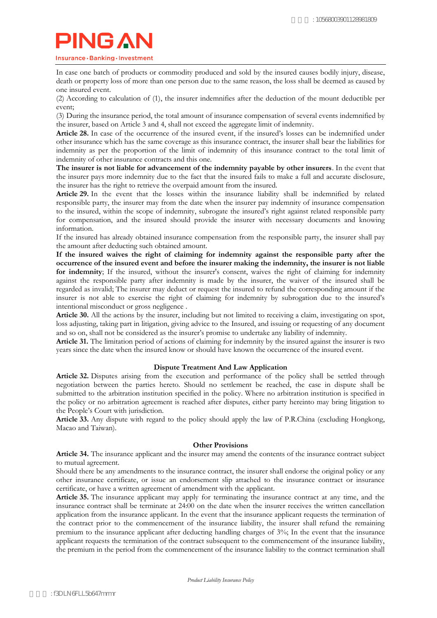Insurance · Banking · Investment

In case one batch of products or commodity produced and sold by the insured causes bodily injury, disease, death or property loss of more than one person due to the same reason, the loss shall be deemed as caused by one insured event.

(2) According to calculation of (1), the insurer indemnifies after the deduction of the mount deductible per event;

(3) During the insurance period, the total amount of insurance compensation of several events indemnified by the insurer, based on Article 3 and 4, shall not exceed the aggregate limit of indemnity.

**Article 28.** In case of the occurrence of the insured event, if the insured's losses can be indemnified under other insurance which has the same coverage as this insurance contract, the insurer shall bear the liabilities for indemnity as per the proportion of the limit of indemnity of this insurance contract to the total limit of indemnity of other insurance contracts and this one.

**The insurer is not liable for advancement of the indemnity payable by other insurers**. In the event that the insurer pays more indemnity due to the fact that the insured fails to make a full and accurate disclosure, the insurer has the right to retrieve the overpaid amount from the insured.

**Article 29.** In the event that the losses within the insurance liability shall be indemnified by related responsible party, the insurer may from the date when the insurer pay indemnity of insurance compensation to the insured, within the scope of indemnity, subrogate the insured's right against related responsible party for compensation, and the insured should provide the insurer with necessary documents and knowing information.

If the insured has already obtained insurance compensation from the responsible party, the insurer shall pay the amount after deducting such obtained amount.

**If the insured waives the right of claiming for indemnity against the responsible party after the occurrence of the insured event and before the insurer making the indemnity, the insurer is not liable for indemnity**; If the insured, without the insurer's consent, waives the right of claiming for indemnity against the responsible party after indemnity is made by the insurer, the waiver of the insured shall be regarded as invalid; The insurer may deduct or request the insured to refund the corresponding amount if the insurer is not able to exercise the right of claiming for indemnity by subrogation due to the insured's intentional misconduct or gross negligence .

**Article 30.** All the actions by the insurer, including but not limited to receiving a claim, investigating on spot, loss adjusting, taking part in litigation, giving advice to the Insured, and issuing or requesting of any document and so on, shall not be considered as the insurer's promise to undertake any liability of indemnity.

**Article 31.** The [limitation period of actions](dict://key.0895DFE8DB67F9409DB285590D870EDD/limitation%20of%20actions) of claiming for indemnity by the insured against the insurer is two years since the date when the insured know or should have known the occurrence of the insured event.

### **Dispute Treatment And Law Application**

**Article 32.** Disputes arising from the execution and performance of the policy shall be settled through negotiation between the parties hereto. Should no settlement be reached, the case in dispute shall be submitted to the arbitration institution specified in the policy. Where no arbitration institution is specified in the policy or no arbitration agreement is reached after disputes, either party hereinto may bring litigation to the People's Court with jurisdiction.

**Article 33.** Any dispute with regard to the policy should apply the law of P.R.China (excluding Hongkong, Macao and Taiwan).

### **Other Provisions**

**Article 34.** The insurance applicant and the insurer may amend the contents of the insurance contract subject to mutual agreement.

Should there be any amendments to the insurance contract, the insurer shall endorse the original policy or any other insurance certificate, or issue an endorsement slip attached to the insurance contract or insurance certificate, or have a written agreement of amendment with the applicant.

**Article 35.** The insurance applicant may apply for terminating the insurance contract at any time, and the insurance contract shall be terminate at 24:00 on the date when the insurer receives the written cancellation application from the insurance applicant. In the event that the insurance applicant requests the termination of the contract prior to the commencement of the insurance liability, the insurer shall refund the remaining premium to the insurance applicant after deducting handling charges of 3%; In the event that the insurance applicant requests the termination of the contract subsequent to the commencement of the insurance liability, the premium in the period from the commencement of the insurance liability to the contract termination shall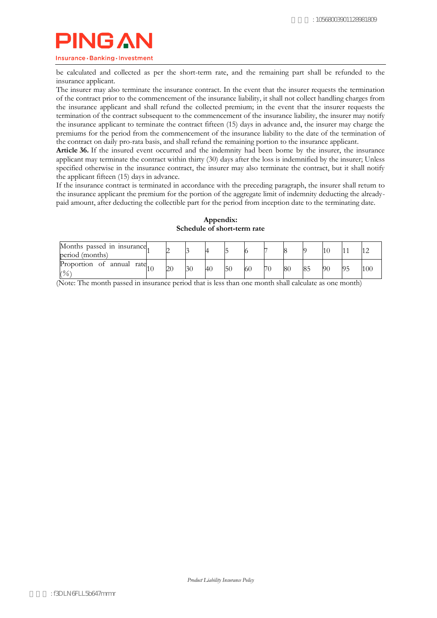Insurance · Banking · Investment

be calculated and collected as per the short-term rate, and the remaining part shall be refunded to the insurance applicant.

The insurer may also terminate the insurance contract. In the event that the insurer requests the termination of the contract prior to the commencement of the insurance liability, it shall not collect handling charges from the insurance applicant and shall refund the collected premium; in the event that the insurer requests the termination of the contract subsequent to the commencement of the insurance liability, the insurer may notify the insurance applicant to terminate the contract fifteen (15) days in advance and, the insurer may charge the premiums for the period from the commencement of the insurance liability to the date of the termination of the contract on daily pro-rata basis, and shall refund the remaining portion to the insurance applicant.

Article 36. If the insured event occurred and the indemnity had been borne by the insurer, the insurance applicant may terminate the contract within thirty (30) days after the loss is indemnified by the insurer; Unless specified otherwise in the insurance contract, the insurer may also terminate the contract, but it shall notify the applicant fifteen (15) days in advance.

If the insurance contract is terminated in accordance with the preceding paragraph, the insurer shall return to the insurance applicant the premium for the portion of the aggregate limit of indemnity deducting the alreadypaid amount, after deducting the collectible part for the period from inception date to the terminating date.

| Months passed in insurance.<br>period (months) |  |    |    |    |     |    |    |    |    |  |
|------------------------------------------------|--|----|----|----|-----|----|----|----|----|--|
| Proportion of annual rate<br>(%                |  | 30 | 40 | 5( | -60 | 70 | 80 | 8. | 90 |  |

#### **Appendix: Schedule of short-term rate**

(Note: The month passed in insurance period that is less than one month shall calculate as one month)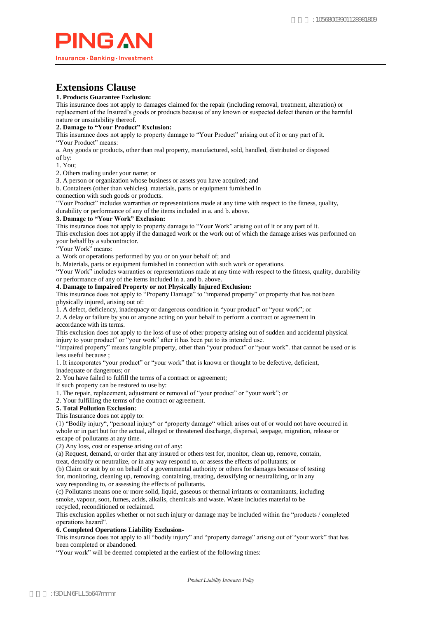

# **Extensions Clause**

#### **1. Products Guarantee Exclusion:**

This insurance does not apply to damages claimed for the repair (including removal, treatment, alteration) or replacement of the Insured's goods or products because of any known or suspected defect therein or the harmful nature or unsuitability thereof.

#### **2. Damage to "Your Product" Exclusion:**

This insurance does not apply to property damage to "Your Product" arising out of it or any part of it. "Your Product" means:

a. Any goods or products, other than real property, manufactured, sold, handled, distributed or disposed

of by: 1. You;

2. Others trading under your name; or

3. A person or organization whose business or assets you have acquired; and

b. Containers (other than vehicles). materials, parts or equipment furnished in

connection with such goods or products.

"Your Product" includes warranties or representations made at any time with respect to the fitness, quality,

durability or performance of any of the items included in a. and b. above.

#### **3. Damage to "Your Work" Exclusion:**

This insurance does not apply to property damage to "Your Work" arising out of it or any part of it.

This exclusion does not apply if the damaged work or the work out of which the damage arises was performed on your behalf by a subcontractor.

"Your Work" means:

a. Work or operations performed by you or on your behalf of; and

b. Materials, parts or equipment furnished in connection with such work or operations.

"Your Work" includes warranties or representations made at any time with respect to the fitness, quality, durability or performance of any of the items included in a. and b. above.

#### **4. Damage to Impaired Property or not Physically Injured Exclusion:**

This insurance does not apply to "Property Damage" to "impaired property" or property that has not been physically injured, arising out of:

1. A defect, deficiency, inadequacy or dangerous condition in "your product" or "your work"; or

2. A delay or failure by you or anyone acting on your behalf to perform a contract or agreement in accordance with its terms.

This exclusion does not apply to the loss of use of other property arising out of sudden and accidental physical injury to your product" or "your work" after it has been put to its intended use.

"Impaired property" means tangible property, other than "your product" or "your work". that cannot be used or is less useful because ;

1. It incorporates "your product" or "your work" that is known or thought to be defective, deficient,

inadequate or dangerous; or

2. You have failed to fulfill the terms of a contract or agreement;

if such property can be restored to use by:

1. The repair, replacement, adjustment or removal of "your product" or "your work"; or

2. Your fulfilling the terms of the contract or agreement.

#### **5. Total Pollution Exclusion:**

This Insurance does not apply to:

(1) "Bodily injury", "personal injury" or "property damage" which arises out of or would not have occurred in whole or in part but for the actual, alleged or threatened discharge, dispersal, seepage, migration, release or escape of pollutants at any time.

(2) Any loss, cost or expense arising out of any:

(a) Request, demand, or order that any insured or others test for, monitor, clean up, remove, contain,

treat, detoxify or neutralize, or in any way respond to, or assess the effects of pollutants; or

(b) Claim or suit by or on behalf of a governmental authority or others for damages because of testing for, monitoring, cleaning up, removing, containing, treating, detoxifying or neutralizing, or in any way responding to, or assessing the effects of pollutants.

(c) Pollutants means one or more solid, liquid, gaseous or thermal irritants or contaminants, including smoke, vapour, soot, fumes, acids, alkalis, chemicals and waste. Waste includes material to be recycled, reconditioned or reclaimed.

This exclusion applies whether or not such injury or damage may be included within the "products / completed operations hazard".

#### **6. Completed Operations Liability Exclusion-**

This insurance does not apply to all "bodily injury" and "property damage" arising out of "your work" that has been completed or abandoned.

"Your work" will be deemed completed at the earliest of the following times: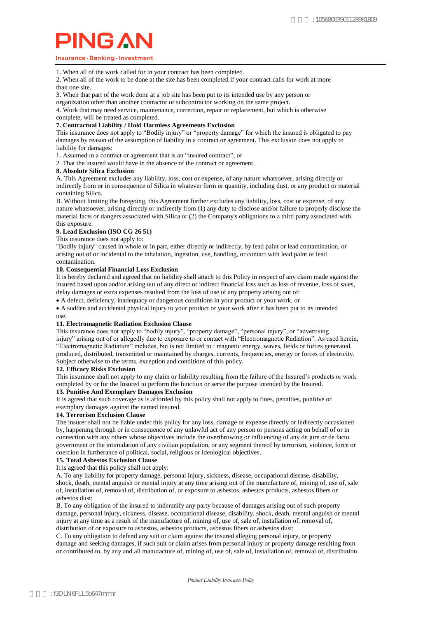#### Insurance · Banking · Investment

1. When all of the work called for in your contract has been completed.

2. When all of the work to be done at the site has been completed if your contract calls for work at more than one site.

- 3. When that part of the work done at a job site has been put to its intended use by any person or
- organization other than another contractor or subcontractor working on the same project.

4. Work that may need service, maintenance, correction, repair or replacement, but which is otherwise complete, will be treated as completed.

#### **7. Contractual Liability / Hold Harmless Agreements Exclusion**

This insurance does not apply to "Bodily injury" or "property damage" for which the insured is obligated to pay damages by reason of the assumption of liability in a contract or agreement. This exclusion does not apply to liability for damages:

1. Assumed in a contract or agreement that is an "insured contract"; or

2 .That the insured would have in the absence of the contract or agreement.

#### **8. Absolute Silica Exclusion**

A. This Agreement excludes any liability, loss, cost or expense, of any nature whatsoever, arising directly or indirectly from or in consequence of Silica in whatever form or quantity, including dust, or any product or material containing Silica.

B. Without limiting the foregoing, this Agreement further excludes any liability, loss, cost or expense, of any nature whatsoever, arising directly or indirectly from (1) any duty to disclose and/or failure to properly disclose the material facts or dangers associated with Silica or (2) the Company's obligations to a third party associated with this exposure.

#### **9. Lead Exclusion (ISO CG 26 51)**

This insurance does not apply to:

"Bodily injury" caused in whole or in part, either directly or indirectly, by lead paint or lead contamination, or arising out of or incidental to the inhalation, ingestion, use, handling, or contact with lead paint or lead contamination.

#### **10. Consequential Financial Loss Exclusion**

It is hereby declared and agreed that no liability shall attach to this Policy in respect of any claim made against the insured based upon and/or arising out of any direct or indirect financial loss such as loss of revenue, loss of sales, delay damages or extra expenses resulted from the loss of use of any property arising out of:

A defect, deficiency, inadequacy or dangerous conditions in your product or your work, or

 A sudden and accidental physical injury to your product or your work after it has been put to its intended use.

#### **11. Electromagnetic Radiation Exclusion Clause**

This insurance does not apply to "bodily injury", "property damage", "personal injury", or "advertising injury" arising out of or allegedly due to exposure to or contact with "Electromagnetic Radiation". As used herein, "Electromagnetic Radiation" includes, but is not limited to : magnetic energy, waves, fields or forces generated, produced, distributed, transmitted or maintained by charges, currents, frequencies, energy or forces of electricity. Subject otherwise to the terms, exception and conditions of this policy.

#### **12. Efficacy Risks Exclusion**

This insurance shall not apply to any claim or liability resulting from the failure of the Insured's products or work completed by or for the Insured to perform the function or serve the purpose intended by the Insured.

#### **13. Punitive And Exemplary Damages Exclusion**

It is agreed that such coverage as is afforded by this policy shall not apply to fines, penalties, punitive or exemplary damages against the named insured.

#### **14. Terrorism Exclusion Clause**

The insurer shall not be liable under this policy for any loss, damage or expense directly or indirectly occasioned by, happening through or in consequence of any unlawful act of any person or persons acting on behalf of or in connection with any others whose objectives include the overthrowing or influencing of any de jure or de facto government or the intimidation of any civilian population, or any segment thereof by terrorism, violence, force or coercion in furtherance of political, social, religious or ideological objectives.

### **15. Total Asbestos Exclusion Clause**

It is agreed that this policy shall not apply:

A. To any liability for property damage, personal injury, sickness, disease, occupational disease, disability, shock, death, mental anguish or mental injury at any time arising out of the manufacture of, mining of, use of, sale of, installation of, removal of, distribution of, or exposure to asbestos, asbestos products, asbestos fibers or asbestos dust;

B. To any obligation of the insured to indemnify any party because of damages arising out of such property damage, personal injury, sickness, disease, occupational disease, disability, shock, death, mental anguish or mental injury at any time as a result of the manufacture of, mining of, use of, sale of, installation of, removal of, distribution of or exposure to asbestos, asbestos products, asbestos fibers or asbestos dust;

C. To any obligation to defend any suit or claim against the insured alleging personal injury, or property damage and seeking damages, if such suit or claim arises from personal injury or property damage resulting from or contributed to, by any and all manufacture of, mining of, use of, sale of, installation of, removal of, distribution